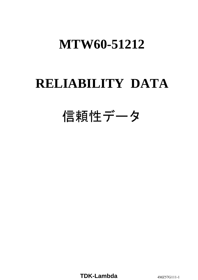# **RELIABILITY DATA**

# 信頼性データ

**TDK-Lambda** 4MZ57G111-1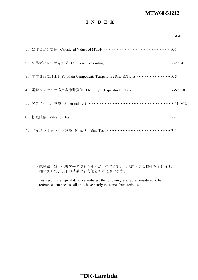# **I N D E X**

#### **PAGE**

| 2. 部品ディレーティング Components Derating ……………………………………… R-2 ~4                            |  |
|-------------------------------------------------------------------------------------|--|
| 3. 主要部品温度上昇值 Main Components Temperature Rise △T List ························· R-5 |  |
| 4. 電解コンデンサ推定寿命計算値 Electrolytic Capacitor Lifetime ·························· R-6~10 |  |
| 5. アブノーマル試験 Abnormal Test ……………………………………………… R-11 ~12                               |  |
| 6. 振動試験 Vibration Test ………………………………………………………… R-13                                  |  |
| 7. ノイズシミュレート試験 Noise Simulate Test …………………………………… R-14                              |  |

※ 試験結果は、代表データでありますが、全ての製品はほぼ同等な特性を示します。 従いまして、以下の結果は参考値とお考え願います。

Test results are typical data. Nevertheless the following results are considered to be reference data because all units have nearly the same characteristics.

# **TDK-Lambda**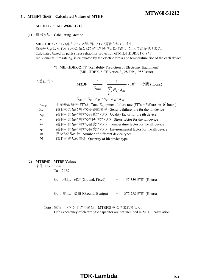#### 1.**MTBF**計算値 **Calculated Values of MTBF**

#### **MODEL** : **MTW60-51212**

(1) 算出方法 Calculating Method

MIL-HDBK-217Fの部品ストレス解析法(\*1)で算出されています。 故障率 $\lambda_{\rm ss}$ は、それぞれの部品ごとに電気ストレスと動作温度によって決定されます。 Calculated based on parts stress reliability projection of MIL-HDBK-217F (\*1). Individual failure rate  $\lambda_{SS}$  is calculated by the electric stress and temperature rise of the each device.

> \*1: MIL-HDBK-217F "Reliability Prediction of Electronic Equipment" (MIL-HDBK-217F Notice 2 , 28,Feb.,1955 Issue)

```
<算出式>
```

$$
MTBF = \frac{1}{\lambda_{\text{equip}}} = \frac{1}{\sum_{i=1}^{m} N_i \cdot \lambda_{\text{SSI}}} \times 10^6 \quad \text{iff} \quad \text{[hours]}
$$
\n
$$
\lambda_{\text{SSI}} = \lambda_{\text{Gi}} \cdot \pi_{\text{Qi}} \cdot \pi_{\text{Si}} \cdot \pi_{\text{Ti}} \cdot \pi_{\text{Ei}}
$$

**MTW60-51212**

| $\lambda_{\text{equiv}}$ | : 全機器故障率(FITs) Total Equipment failure rate (FITs = Failures in 10 <sup>6</sup> hours) |
|--------------------------|----------------------------------------------------------------------------------------|
| $\lambda_{\rm Gi}$       | :i番目の部品に対する基礎故障率 Generic failure rate for the ith device                               |
| $\pi_{Qi}$               | :i番目の部品に対する品質ファクタ Quality factor for the ith device                                    |
| $\pi_{\text{Si}}$        | :i番目の部品に対するストレスファクタ Stress factor for the ith device                                   |
| $\pi_{Ti}$               | :i番目の部品に対する温度ファクタ Temperature factor for the ith device                                |
| $\pi_{\rm Ei}$           | :i番目の部品に対する環境ファクタ Environmental factor for the ith device                              |
| m                        | : 異なる部品の数 Number of different device types                                             |
| $N_i$                    | :i番目の部品の個数 Quantity of ith device type                                                 |
|                          |                                                                                        |

#### (2) **MTBF**値 **MTBF Values**

条件 Conditions :

 $Ta = 50^{\circ}C$ 

 $G_F$  : 地上、固定 (Ground, Fixed)  $=$  57,559 時間 (Hours)

 $G_B$ : 地上、温和 (Ground, Benign) = 277,788 時間 (Hours)

Note : 電解コンデンサの寿命は、MTBF計算に含まれません。

Life expectancy of electrolytic capacitor are not included in MTBF calculation.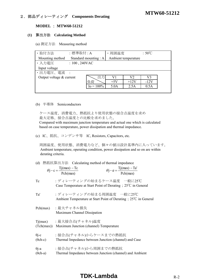# **MTW60-51212** 2.部品ディレーティング **Components Derating**

#### **MODEL** : **MTW60-51212**

#### **(1)** 算出方法 **Calculating Method**

(a) 測定方法 Measuring method

| · 取付方法                     | :標準取付:A          |                       | 周囲温度  |                     | $:50^{\circ}$ C |  |
|----------------------------|------------------|-----------------------|-------|---------------------|-----------------|--|
| Mounting method            |                  | Standard mounting : A |       | Ambient temperature |                 |  |
| ・入力電圧                      | $: 100, 240$ VAC |                       |       |                     |                 |  |
| Input voltage              |                  |                       |       |                     |                 |  |
| •出力電圧、電流 :                 |                  |                       |       |                     |                 |  |
| Output voltage $&$ current |                  | 出力                    | V1    | V2                  | V3              |  |
|                            |                  | 負荷                    | $+5V$ | $+12V$              | $-12V$          |  |
|                            |                  | $I_0 = 100\%$         | 5.0A  | 2.5A                | 0.5A            |  |
|                            |                  |                       |       |                     |                 |  |

#### (b) 半導体 Semiconductors

 ケース温度、消費電力、熱抵抗より使用状態の接合点温度を求め 最大定格、接合点温度との比較を求めました。

 Compared with maximum junction temperature and actual one which is calculated based on case temperature, power dissipation and thermal impedance.

(c) IC、抵抗、コンデンサ等 IC, Resistors, Capacitors, etc.

 周囲温度、使用状態、消費電力など、個々の値は設計基準内に入っています。 Ambient temperature, operating condition, power dissipation and so on are within derating criteria.

|  |  | (d) 熱抵抗算出方法 Calculating method of thermal impedance |  |
|--|--|-----------------------------------------------------|--|
|--|--|-----------------------------------------------------|--|

| $\theta$ j – c = $\frac{Tj(max) - Tc}{Pch(max)}$ |                                                         | $\theta j - a = \frac{Tj(max) - Ta'}{Pch(max)}$ |              |
|--------------------------------------------------|---------------------------------------------------------|-------------------------------------------------|--------------|
|                                                  | $\sim$ $\sim$ $\sim$ $\sim$ $\sim$ $\sim$ $\sim$ $\sim$ | $\sim$ $\sim$ $\sim$ $\sim$ $\sim$              | $40.3 - 200$ |

Tc :ディレーティングの始まるケース温度 一般に25℃ Case Temperature at Start Point of Derating;25℃ in General

Ta' :ディレーティングの始まる周囲温度 一般に25℃ Ambient Temperature at Start Point of Derating;25℃ in General

- Pch(max) :最大チャネル損失 Maximum Channel Dissipation
- Tj(max) :最大接合点(チャネル)温度 (Tch(max)) Maximum Junction (channel) Temperature
- θi-c :接合点(チャネル)からケースまでの熱抵抗
- (θch-c) Thermal Impedance between Junction (channel) and Case
- θj-a : 接合点(チャネル)から周囲までの熱抵抗
- (θch-a) Thermal Impedance between Junction (channel) and Ambient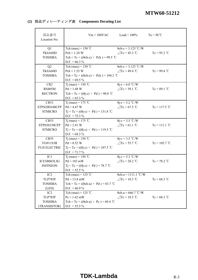## **(2)** 部品ディレーティング表 **Components Derating List**

| 部品番号<br>Location No. |                                                   | $Vin = 100VAC$ $Load = 100\%$ | $Ta = 50^{\circ}C$ |
|----------------------|---------------------------------------------------|-------------------------------|--------------------|
| Q1                   | Tch (max) = $150$ °C                              | $\theta$ ch-c = 3.125 °C/W    |                    |
| TK6A60D              | $Pch = 1.34 W$                                    | $\triangle$ Tc = 45.3 °C      | $Tc = 95.3$ °C     |
| <b>TOSHIBA</b>       | Tch = Tc + (( $\theta$ ch-c) × Pch) = 99.5 °C     |                               |                    |
|                      | $D.F. = 66.3 %$                                   |                               |                    |
| Q2                   | Tch (max) = $150^{\circ}$ C                       | $\theta$ ch-c = 3.125 °C/W    |                    |
| TK6A60D              | $Pch = 1.53 W$                                    | $\triangle$ Tc = 49.4 °C      | $Tc = 99.4$ °C     |
| <b>TOSHIBA</b>       | Tch = Tc + (( $\theta$ ch-c) × Pch) = 104.2 °C    |                               |                    |
|                      | D.F. = $69.5\%$                                   |                               |                    |
| CR <sub>2</sub>      | Tj (max) = 150 °C                                 | $\theta$ j-c = 6.0 °C/W       |                    |
| <b>RS405M</b>        | $Pd = 1.48 W$                                     | $\angle$ Tc = 39.1 °C         | $Tc = 89.1$ °C     |
| <b>RECTRON</b>       | Tch = Tc + $((\theta j-c) \times Pd)$ = 98.0 °C   |                               |                    |
|                      | $D.F. = 65.3 \%$                                  |                               |                    |
| CR51                 | Tj (max) = 175 °C                                 | $\theta$ j-c = 3.2 °C/W       |                    |
| STPS20H100CFP        | $Pd = 4.47 W$                                     | $\angle$ Tc = 67.5 °C         | $Tc = 117.5 °C$    |
| <b>STMICRO</b>       | $Tj = Tc + ((\theta j - c) \times Pd) = 131.8$ °C |                               |                    |
|                      | $D.F. = 75.3 \%$                                  |                               |                    |
| CR53                 | Tj (max) = 175 °C                                 | $\theta$ j-c = 3.5 °C/W       |                    |
| <b>STPS20150CFP</b>  | $Pd = 2.41 W$                                     | $\angle$ Tc = 61.1 °C         | $Tc = 111.1$ °C    |
| <b>STMICRO</b>       | $Tj = Tc + ((\theta j - c) \times Pd) = 119.5$ °C |                               |                    |
|                      | $D.F. = 68.3 \%$                                  |                               |                    |
| <b>CR55</b>          | Tj (max) = 150 °C                                 | $\theta$ j-c = 3.5 °C/W       |                    |
| YG911S3R             | $Pd = 0.52 W$                                     | $\angle$ Tc = 55.7 °C         | $Tc = 105.7$ °C    |
| <b>FUJI ELECTRIC</b> | $Tj = Tc + ((\theta j - c) \times Pd) = 107.5$ °C |                               |                    |
|                      | $D.F. = 71.7\%$                                   |                               |                    |
| IC <sub>1</sub>      | Tj (max) = 150 °C                                 | $\theta$ j-c = 5.3 °C/W       |                    |
| ICE3BS03LJG          | $Pd = 103$ mW                                     | $\angle$ Tc = 28.2 °C         | $Tc = 78.2 °C$     |
| <b>INFINEON</b>      | $Tj = Tc + ((\theta j - c) \times Pd) = 78.7$ °C  |                               |                    |
|                      | $D.F. = 52.5 \%$                                  |                               |                    |
| IC <sub>2</sub>      | Tch (max) = $125$ °C                              | $\theta$ ch-a = 1111.1 °C/W   |                    |
| <b>TLP785F</b>       | $Pd = 13.8$ mW                                    | $\angle$ Tc = 18.3 °C         | $Tc = 68.3$ °C     |
| <b>TOSHIBA</b>       | Tch = Tc + (( $\theta$ ch-a) × Pd) = 83.7 °C      |                               |                    |
| (LED)                | $D.F. = 66.9 %$                                   |                               |                    |
| IC <sub>2</sub>      | Tch (max) = $125$ °C                              | $\theta$ ch-a = 666.7 °C/W    |                    |
| <b>TLP785F</b>       | $Pc = 1.62$ mW                                    | $\angle$ Tc = 18.3 °C         | $Tc = 68.3$ °C     |
| <b>TOSHIBA</b>       | Tch = Tc + (( $\theta$ ch-a) × Pc) = 69.4 °C      |                               |                    |
| (TRANSISTOR)         | $D.F. = 55.5 \%$                                  |                               |                    |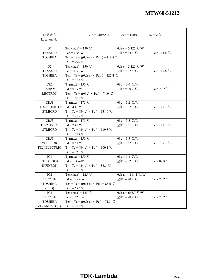| 部品番号<br>Location No. |                                                   | $V$ in = 240VAC Load = 100% | $Ta = 50^{\circ}C$ |
|----------------------|---------------------------------------------------|-----------------------------|--------------------|
| Q1                   | Tch (max) = $150$ °C                              | $\theta$ ch-c = 3.125 °C/W  |                    |
| TK6A60D              | $Pch = 1.34 W$                                    | $\angle$ Tc = 64.6 °C       | $Tc = 114.6 °C$    |
| <b>TOSHIBA</b>       | Tch = Tc + (( $\theta$ ch-c) × Pch) = 118.8 °C    |                             |                    |
|                      | $D.F. = 79.2 \%$                                  |                             |                    |
| Q2                   | Tch (max) = $150$ °C                              | $\theta$ ch-c = 3.125 °C/W  |                    |
| TK6A60D              | $Pch = 1.53 W$                                    | $\triangle$ Tc = 67.6 °C    | $Tc = 117.6 °C$    |
| <b>TOSHIBA</b>       | Tch = Tc + (( $\theta$ ch-c) × Pch) = 122.4 °C    |                             |                    |
|                      | $D.F. = 81.6 \%$                                  |                             |                    |
| CR <sub>2</sub>      | Tj (max) = 150 °C                                 | $\theta$ j-c = 6.0 °C/W     |                    |
| <b>RS405M</b>        | $Pd = 0.79 W$                                     | $\angle$ Tc = 20.2 °C       | $Tc = 70.2$ °C     |
| <b>RECTRON</b>       | Tch = Tc + $((\theta$ j-c) × Pd) = 74.9 °C        |                             |                    |
|                      | $D.F. = 50.0 %$                                   |                             |                    |
| CR51                 | T <sub>j</sub> (max) = 175 °C                     | $\theta$ j-c = 3.2 °C/W     |                    |
| STPS20H100CFP        | $Pd = 4.46 W$                                     | $\angle$ Tc = 67.3 °C       | $Tc = 117.3$ °C    |
| <b>STMICRO</b>       | $Tj = Tc + ((\theta j - c) \times Pd) = 131.6$ °C |                             |                    |
|                      | $D.F. = 75.2 \%$                                  |                             |                    |
| CR53                 | T <sub>j</sub> (max) = 175 °C                     | $\theta$ j-c = 3.5 °C/W     |                    |
| STPS20150CFP         | $Pd = 2.42 W$                                     | $\angle$ Tc = 61.3 °C       | $Tc = 111.3$ °C    |
| <b>STMICRO</b>       | $Tj = Tc + ((\theta j - c) \times Pd) = 119.8$ °C |                             |                    |
|                      | $D.F. = 68.4 \%$                                  |                             |                    |
| <b>CR55</b>          | Tj (max) = $150 °C$                               | $\theta$ j-c = 3.5 °C/W     |                    |
| YG911S3R             | $Pd = 0.51 W$                                     | $\angle$ Tc = 57.3 °C       | $Tc = 107.3$ °C    |
| <b>FUJI ELECTRIC</b> | $Tj = Tc + ((\theta j - c) \times Pd) = 109.1$ °C |                             |                    |
|                      | $D.F. = 72.7 %$                                   |                             |                    |
| IC1                  | Tj (max) = 150 °C                                 | $\theta$ j-c = 5.3 °C/W     |                    |
| ICE3BS03LJG          | $Pd = 134$ mW                                     | $\angle$ Tc = 32.8 °C       | $Tc = 82.8 °C$     |
| <b>INFINEON</b>      | $Tj = Tc + ((\theta j - c) \times Pd) = 83.5$ °C  |                             |                    |
|                      | $D.F. = 55.7 \%$                                  |                             |                    |
| IC2                  | Tch (max) = $125$ °C                              | $\theta$ ch-a = 1111.1 °C/W |                    |
| TLP785F              | $Pd = 13.8$ mW                                    | $\angle$ Tc = 20.2 °C       | $Tc = 70.2$ °C     |
| <b>TOSHIBA</b>       | Tch = Tc + (( $\theta$ ch-a) × Pd) = 85.6 °C      |                             |                    |
| (LED)                | $D.F. = 68.5 \%$                                  |                             |                    |
| IC <sub>2</sub>      | Tch (max) = $125$ °C                              | $\theta$ ch-a = 666.7 °C/W  |                    |
| TLP785F              | $Pc = 1.62$ mW                                    | $\angle$ Tc = 20.2 °C       | $Tc = 70.2$ °C     |
| <b>TOSHIBA</b>       | Tch = Tc + (( $\theta$ ch-a) × Pc) = 71.3 °C      |                             |                    |
| (TRANSISTOR)         | $D.F. = 57.0 %$                                   |                             |                    |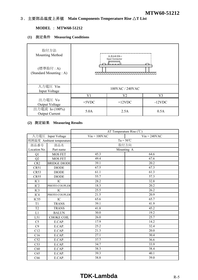## 3.主要部品温度上昇値 **Main Components Temperature Rise** △**T List**

## **MODEL** : **MTW60-51212**

### **(1)** 測定条件 **Measuring Conditions**

| 取付方法<br>Mounting Method<br>(標準取付:A)<br>(Standard Mounting: A) |          | 入力コネクター<br>Input Connector<br><u> Annnad C</u> |           |
|---------------------------------------------------------------|----------|------------------------------------------------|-----------|
| 入力電圧 Vin<br>Input Voltage                                     |          | 100VAC / 240VAC                                |           |
|                                                               |          | V2                                             | V٩        |
| 出力電圧 Vo<br><b>Output Voltage</b>                              | $+5$ VDC | $+12$ VDC                                      | $-12$ VDC |
| 出力電流 Io (100%)<br><b>Output Current</b>                       | 5.0A     | 2.5A                                           | 0.5A      |

#### **(2)** 測定結果 **Measuring Results**

|                  |                          | $\Delta T$ Temperature Rise (°C) |                |  |  |  |  |  |  |  |  |
|------------------|--------------------------|----------------------------------|----------------|--|--|--|--|--|--|--|--|
|                  | 入力電圧 Input Voltage       | $Vin = 100VAC$                   | $Vin = 240VAC$ |  |  |  |  |  |  |  |  |
|                  | 周囲温度 Ambient temperature | $Ta = 50^{\circ}C$               |                |  |  |  |  |  |  |  |  |
| 部品番号             | 部品名                      | 取付方向                             |                |  |  |  |  |  |  |  |  |
| Location No.     | Part name                | Mounting A                       |                |  |  |  |  |  |  |  |  |
| Q1               | <b>MOS FET</b>           | 45.3                             | 64.6           |  |  |  |  |  |  |  |  |
| Q2               | <b>MOS FET</b>           | 49.4                             | 67.6           |  |  |  |  |  |  |  |  |
| CR <sub>2</sub>  | <b>BRIDGE DIODE</b>      | 39.1                             | 20.2           |  |  |  |  |  |  |  |  |
| CR51             | <b>DIODE</b>             | 67.5                             | 67.3           |  |  |  |  |  |  |  |  |
| CR53             | <b>DIODE</b>             | 61.1                             | 61.3           |  |  |  |  |  |  |  |  |
| CR55             | <b>DIODE</b>             | 55.7                             | 57.3           |  |  |  |  |  |  |  |  |
| IC1              | IC                       | 28.2                             | 32.8           |  |  |  |  |  |  |  |  |
| IC <sub>2</sub>  | PHOTO COUPLER            | 18.3                             | 20.2           |  |  |  |  |  |  |  |  |
| IC <sub>3</sub>  | IC                       | 25.5                             | 26.2           |  |  |  |  |  |  |  |  |
| IC4              | PHOTO COUPLER            | 21.5                             | 20.9           |  |  |  |  |  |  |  |  |
| IC <sub>55</sub> | IC                       | 65.6                             | 65.7           |  |  |  |  |  |  |  |  |
| T <sub>1</sub>   | <b>TRANS</b>             | 39.1                             | 41.9           |  |  |  |  |  |  |  |  |
| T <sub>2</sub>   | <b>TRANS</b>             | 41.8                             | 45.2           |  |  |  |  |  |  |  |  |
| L1               | <b>BALUN</b>             | 30.0                             | 19.2           |  |  |  |  |  |  |  |  |
| L51              | <b>CHOKE COIL</b>        | 26.0                             | 25.7           |  |  |  |  |  |  |  |  |
| C <sub>5</sub>   | E.CAP.                   | 17.9                             | 14.2           |  |  |  |  |  |  |  |  |
| C9               | E.CAP.                   | 25.2                             | 32.4           |  |  |  |  |  |  |  |  |
| C12              | E.CAP.                   | 21.3                             | 20.0           |  |  |  |  |  |  |  |  |
| C16              | E.CAP.                   | 27.1                             | 30.4           |  |  |  |  |  |  |  |  |
| C52              | E.CAP.                   | 37.7                             | 36.6           |  |  |  |  |  |  |  |  |
| C <sub>53</sub>  | E.CAP.                   | 34.7                             | 33.9           |  |  |  |  |  |  |  |  |
| C60              | E.CAP.                   | 38.3                             | 38.4           |  |  |  |  |  |  |  |  |
| C65              | E.CAP.                   | 39.3                             | 40.1           |  |  |  |  |  |  |  |  |
| C66              | E.CAP.                   | 38.8                             | 39.0           |  |  |  |  |  |  |  |  |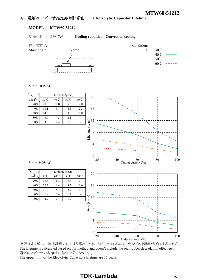#### 4.電解コンデンサ推定寿命計算値 **Electrolytic Capacitor Lifetime**

#### **MODEL** : **MTW60-51212**

空冷条件 : 自然空冷 **Cooling condition : Convection cooling**





 $Vin = 100VAC$ 



上記推定寿命は、弊社計算方法により算出した値であり、封口ゴムの劣化などの影響を含めておりません。 The lifetime is calculated based on our method and doesn't include the seal rubber degradation effect etc. 電解コンデンサの寿命は15年が上限となります。

The upper limit of the Electolytic Capacitors lifetime are 15 years.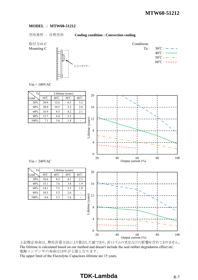#### **MODEL** : **MTW60-51212**

#### 空冷条件 : 自然空冷 **Cooling condition : Convection cooling**

取付方向 C Conditions



 $40^{\circ}$ C :  $50^{\circ}$ C :  $-\cdots$   $\cdots$  $60^{\circ}$ C : -----

 $Vin = 100VAC$ 

| Ta   | Lifetime (years)                                           |      |     |     |  |  |  |  |  |  |  |  |  |  |
|------|------------------------------------------------------------|------|-----|-----|--|--|--|--|--|--|--|--|--|--|
| Load | $40^{\circ}$ C<br>50°C<br>$30^{\circ}$ C<br>$60^{\circ}$ C |      |     |     |  |  |  |  |  |  |  |  |  |  |
| 20%  | 20.0                                                       | 12.6 | 6.3 | 3.2 |  |  |  |  |  |  |  |  |  |  |
| 40%  | 20.0                                                       | 10.5 | 5.2 | 2.6 |  |  |  |  |  |  |  |  |  |  |
| 60%  | 16.9                                                       | 8.5  | 4.2 | 2.1 |  |  |  |  |  |  |  |  |  |  |
| 80%  | 12.7                                                       | 6.4  | 3.2 |     |  |  |  |  |  |  |  |  |  |  |
| 100% | 7.1                                                        | 3.6  | 1.8 |     |  |  |  |  |  |  |  |  |  |  |

Ta Lifetime (years)

100% 6.6 3.3 1.6



20 40 60 80 100

Output current  $(\% )$ 

 $Vin = 240VAC$ 

上記推定寿命は、弊社計算方法により算出した値であり、封口ゴムの劣化などの影響を含めておりません。 The lifetime is calculated based on our method and doesn't include the seal rubber degradation effect etc. 電解コンデンサの寿命は15年が上限となります。 The upper limit of the Electolytic Capacitors lifetime are 15 years.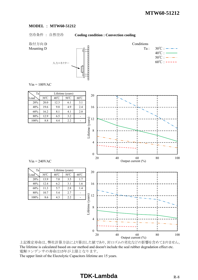#### **MODEL** : **MTW60-51212**

空冷条件 : 自然空冷 **Cooling condition : Convection cooling**

取付方向 D Conditions Mounting D  $\begin{array}{ccc}\n\vdots & \vdots & \vdots & \vdots \\
\downarrow & & \downarrow & \downarrow \\
\downarrow & & & \downarrow & \downarrow \\
\downarrow & & & \downarrow & \downarrow \\
\downarrow & & & & \downarrow & \downarrow \\
\downarrow & & & & \downarrow & \downarrow \\
\downarrow & & & & \downarrow & \downarrow \\
\downarrow & & & & \downarrow & \downarrow \\
\downarrow & & & & \downarrow & \downarrow \\
\downarrow & & & & \downarrow & \downarrow \\
\downarrow & & & & \downarrow & \downarrow \\
\downarrow & & & & & \downarrow & \downarrow \\
\downarrow & & & & & \downarrow & \downarrow \\
\downarrow & & & &$  $40^{\circ}$ C :  $50^{\circ}$ C :  $-\cdots$   $\cdots$  $60^{\circ}$ C : -----入力コネクター  $Vin = 100VAC$ Ta Lifetime (years) 20  $\text{Load}$  30°C 40°C 50°C 60°C 20% 20.0 12.3 6.1 3.1 40% 19.6 9.8 4.9 2.4 16 60% 16.2 8.1 4.1 2.0  $80\%$  12.9 6.5 3.2 Lifetime (years) 12 100% 8.8 4.4 2.2 - 8 4 0 20 40 60 80 100 Output current (%)  $Vin = 240VAC$ Ta Lifetime (years) 20  $\text{Load}$  30°C 40°C 50°C 60°C 20% 13.9 7.0 3.5 1.7 40% 12.4 6.2 3.1 1.6 16 60% 11.3 5.7 2.8 1.4 80% 10.7 5.4 2.7 - Lifetime (years) Lifetime (years) 12 100\% 8.6 4.3 2.2 8 4

上記推定寿命は、弊社計算方法により算出した値であり、封口ゴムの劣化などの影響を含めておりません。 The lifetime is calculated based on our method and doesn't include the seal rubber degradation effect etc. 電解コンデンサの寿命は15年が上限となります。 The upper limit of the Electolytic Capacitors lifetime are 15 years.

20 40 60 80 100

Output current  $(\% )$ 

0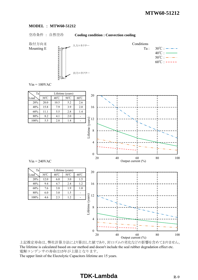#### **MODEL** : **MTW60-51212**

#### 空冷条件 : 自然空冷 **Cooling condition : Convection cooling**



Mounting E  $\qquad \qquad \qquad$  Ta :  $30^{\circ}$ C :  $\rightarrow \rightarrow \rightarrow$  $40^{\circ}$ C :  $50^{\circ}$ C :  $-\cdots$   $\cdots$  $60^{\circ}$ C : -----

 $Vin = 100VAC$ 



上記推定寿命は、弊社計算方法により算出した値であり、封口ゴムの劣化などの影響を含めておりません。 The lifetime is calculated based on our method and doesn't include the seal rubber degradation effect etc. 電解コンデンサの寿命は15年が上限となります。 The upper limit of the Electolytic Capacitors lifetime are 15 years.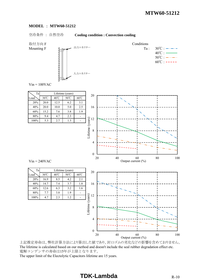#### **MODEL** : **MTW60-51212**

#### 空冷条件 : 自然空冷 **Cooling condition : Convection cooling**

取付方向 F Conditions Mounting F  $\qquad \qquad \qquad$   $\qquad \qquad$   $\qquad \qquad$   $\qquad$   $\qquad \qquad$   $\qquad$   $\qquad \qquad$   $\qquad$   $\qquad$   $\qquad$   $\qquad$   $\qquad$   $\qquad$   $\qquad$   $\qquad$   $\qquad$   $\qquad$   $\qquad$   $\qquad$   $\qquad$   $\qquad$   $\qquad$   $\qquad$   $\qquad$   $\qquad$   $\qquad$   $\qquad$   $\qquad$   $\qquad$   $\qquad$   $\qquad$   $\qquad$   $40^{\circ}$ C :  $50^{\circ}$ C :  $-\cdots$   $\cdots$  $60^{\circ}$ C : ----- $Vin = 100VAC$ Ta Lifetime (years) 20 入力コネクター 出力コネクター



上記推定寿命は、弊社計算方法により算出した値であり、封口ゴムの劣化などの影響を含めておりません。 The lifetime is calculated based on our method and doesn't include the seal rubber degradation effect etc. 電解コンデンサの寿命は15年が上限となります。 The upper limit of the Electolytic Capacitors lifetime are 15 years.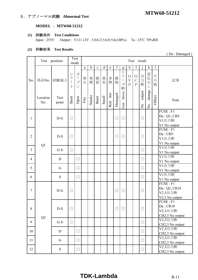# **MTW60-51212** 5.アブノーマル試験 **Abnormal Test**

## **MODEL** : **MTW60-51212**

#### **(1)** 試験条件 **Test Conditions**

Input : 255V Output : 5/12/-12V , 5.0A/2.5A/0.5A(100%) Ta : 25℃ 70%RH

#### **(2)** 試験結果 **Test Results**

|                | Test            | position      |                                                  | Test                                                                                | Test result |             |             |             |            |             |                                         |                                         |                                              |                         |                                         |                         |                                                        |
|----------------|-----------------|---------------|--------------------------------------------------|-------------------------------------------------------------------------------------|-------------|-------------|-------------|-------------|------------|-------------|-----------------------------------------|-----------------------------------------|----------------------------------------------|-------------------------|-----------------------------------------|-------------------------|--------------------------------------------------------|
|                |                 |               |                                                  | mode                                                                                |             |             |             |             |            |             |                                         |                                         |                                              |                         |                                         |                         |                                                        |
|                |                 |               |                                                  |                                                                                     | a           | $\mathbf b$ | $\mathbf c$ | $\mathbf d$ | ${\rm e}$  | $\mathbf f$ | ${\sf g}$                               | $\boldsymbol{h}$                        | I                                            | i                       | $\mathbf k$                             | $\mathbf{l}$            |                                                        |
| No.            | 部品No.           | 試験端子          | $\ddot{\checkmark}$<br>$\exists$<br>$\mathsf{F}$ | 才<br>$\begin{array}{c} \hline \end{array}$<br>$\mathcal{I}^{\circ}$<br>$\checkmark$ | 発<br>火      | 発煙          | 破裂          | 異臭          | 赤熱         | 破損          | ヒ<br>$\overline{\phantom{a}}$<br>ズ<br>断 | $\bigcirc$<br>$\bar{V}$<br>$\mathbf{P}$ | ${\cal O}$<br>$\mathsf{C}$<br>$\overline{P}$ | 出力断                     | 変化な                                     | z<br>$\mathcal{O}$<br>他 | 記事                                                     |
|                | Location<br>No. | Test<br>point | Short                                            | Open                                                                                | $\rm{Fire}$ | Smoke       | Burst       | Smell       | hot<br>Red | Damaged     | blown<br>Fuse                           |                                         |                                              | output<br>$\frac{1}{2}$ | change<br>$\rm \stackrel{\circ}{\rm X}$ | Others                  | Note                                                   |
| 1              |                 | $D-G$         | $\bigcirc$                                       |                                                                                     |             |             |             |             |            | $\bigcirc$  | $\bigcirc$                              |                                         |                                              | $\bigcirc$              |                                         |                         | FUSE : F1<br>Da: Q1, CR9<br>V1出力断<br>V1 No output      |
| $\sqrt{2}$     | Q1              | $D-S$         | $\bigcirc$                                       |                                                                                     |             |             |             |             |            | $\bigcirc$  | $\bigcirc$                              |                                         |                                              | $\bigcirc$              |                                         |                         | FUSE : F1<br>Da: CR9<br>V1出力断<br>V1 No output          |
| $\overline{3}$ |                 | $G-S$         | $\bigcirc$                                       |                                                                                     |             |             |             |             |            |             |                                         |                                         |                                              | $\bigcirc$              |                                         |                         | V1出力断<br>V1 No output                                  |
| $\overline{4}$ |                 | D             |                                                  | $\bigcirc$                                                                          |             |             |             |             |            |             |                                         |                                         |                                              | $\bigcirc$              |                                         |                         | V1出力断<br>V1 No output                                  |
| 5              |                 | G             |                                                  | $\bigcirc$                                                                          |             |             |             |             |            |             |                                         |                                         |                                              | $\bigcirc$              |                                         |                         | V1出力断<br>V1 No output                                  |
| 6              |                 | S             |                                                  | $\bigcirc$                                                                          |             |             |             |             |            |             |                                         |                                         |                                              | $\bigcirc$              |                                         |                         | V1出力断<br>V1 No output                                  |
| $\tau$         |                 | $D-G$         | $\bigcirc$                                       |                                                                                     |             |             |             |             |            | $\bigcirc$  | $\bigcirc$                              |                                         |                                              | $\bigcirc$              |                                         |                         | FUSE : F1<br>Da: Q2, CR10<br>V2,3出力断<br>V2,3 No output |
| $8\,$          | Q2              | $D-S$         | $\bigcirc$                                       |                                                                                     |             |             |             |             |            | $\bigcirc$  | $\bigcirc$                              |                                         |                                              | О                       |                                         |                         | FUSE : F1<br>Da:CR10<br>V2,3出力断<br>CH2,3 No output     |
| 9              |                 | $G-S$         | $\bigcirc$                                       |                                                                                     |             |             |             |             |            |             |                                         |                                         |                                              | $\bigcirc$              |                                         |                         | V2,3出力断<br>CH2,3 No output                             |
| 10             |                 | D             |                                                  | $\bigcirc$                                                                          |             |             |             |             |            |             |                                         |                                         |                                              | $\bigcirc$              |                                         |                         | V2,3出力断<br>CH2,3 No output                             |
| 11             |                 | G             |                                                  | О                                                                                   |             |             |             |             |            |             |                                         |                                         |                                              | $\bigcirc$              |                                         |                         | V2,3出力断<br>CH2,3 No output                             |
| 12             |                 | ${\bf S}$     |                                                  | O                                                                                   |             |             |             |             |            |             |                                         |                                         |                                              | O                       |                                         |                         | V2,3出力断<br>CH2,3 No output                             |

( Da : Damaged )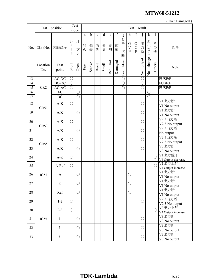| (Da: Damaged) |                 |                |                                        |                                                                             |          |             |              |             |              |         |                           |                                                  |                                             |                                     |                                               |                         |                              |
|---------------|-----------------|----------------|----------------------------------------|-----------------------------------------------------------------------------|----------|-------------|--------------|-------------|--------------|---------|---------------------------|--------------------------------------------------|---------------------------------------------|-------------------------------------|-----------------------------------------------|-------------------------|------------------------------|
|               |                 | Test position  |                                        | Test                                                                        |          |             |              |             |              |         |                           |                                                  | Test result                                 |                                     |                                               |                         |                              |
|               |                 |                |                                        | mode                                                                        |          |             |              |             |              |         |                           |                                                  |                                             |                                     |                                               |                         |                              |
|               |                 |                |                                        |                                                                             | $\rm{a}$ | $\mathbf b$ | $\mathbf c$  | $\mathbf d$ | ${\bf e}$    | f       | ${\sf g}$                 | $\boldsymbol{\mathrm{h}}$                        | $\bf{l}$                                    |                                     | $\mathbf k$                                   | $\mathbf{l}$            |                              |
| No.           | 部品No.           | 試験端子           | $\ddot{\vee}$<br>$\exists$<br>$\vdash$ | 才<br>$\begin{array}{c} \hline \end{array}$<br>プ<br>$\overline{\mathscr{S}}$ | 発<br>火   | 発煙          | 破裂           | 異臭          | 赤熱           | 破<br>損  | ヒ<br>$\mathfrak{I}%$<br>ズ | $\bigcirc$<br>$\bar{\mathrm{V}}$<br>$\mathbf{P}$ | $\bigcirc$<br>$\mathcal{C}$<br>$\mathbf{P}$ | 出力<br>断                             | 変化な                                           | そ<br>$\mathcal{O}$<br>他 | 記事                           |
|               | Location<br>No. | Test<br>point  | Short                                  | Open                                                                        | Fire     | Smoke       | <b>Burst</b> | Smell       | $hot$<br>Red | Damaged | 断<br>blown<br>Fuse        |                                                  |                                             | output<br>$\mathsf{S}^{\mathsf{o}}$ | L<br>change<br>$\mathop{\mathsf{S}}\nolimits$ | Others                  | Note                         |
| 13            |                 | $AC-DC$        | $\bigcirc$                             |                                                                             |          |             |              |             |              |         | $\overline{\bigcirc}$     |                                                  |                                             | $\bigcirc$                          |                                               |                         | FUSE:F1                      |
| 14            |                 | $DC-DC$        | $\overline{\bigcirc}$                  |                                                                             |          |             |              |             |              |         | $\overline{\bigcirc}$     |                                                  |                                             | $\overline{\bigcirc}$               |                                               |                         | FUSE:F1                      |
| 15            | CR <sub>2</sub> | $AC-AC$        | $\bigcirc$                             |                                                                             |          |             |              |             |              |         | ∩                         |                                                  |                                             | $\overline{\bigcirc}$               |                                               |                         | FUSE:F1                      |
| 16            |                 | AC             |                                        | $\bigcirc$                                                                  |          |             |              |             |              |         |                           |                                                  |                                             |                                     | $\bigcap$                                     |                         |                              |
| 17            |                 | DC             |                                        | $\bigcirc$                                                                  |          |             |              |             |              |         |                           |                                                  |                                             |                                     |                                               |                         |                              |
| 18            |                 | $A-K$          | $\bigcirc$                             |                                                                             |          |             |              |             |              |         |                           |                                                  |                                             | $\bigcirc$                          |                                               |                         | V1出力断                        |
|               | CR51            |                |                                        |                                                                             |          |             |              |             |              |         |                           |                                                  |                                             |                                     |                                               |                         | V1 No output                 |
| 19            |                 | A/K            |                                        | $\bigcirc$                                                                  |          |             |              |             |              |         |                           |                                                  |                                             | $\bigcirc$                          |                                               |                         | V1出力断                        |
|               |                 |                |                                        |                                                                             |          |             |              |             |              |         |                           |                                                  |                                             |                                     |                                               |                         | V1 No output<br>V2,3出力断      |
| 20            |                 | $A-K$          | $\bigcirc$                             |                                                                             |          |             |              |             |              |         |                           |                                                  |                                             | $\bigcirc$                          |                                               |                         | V2,3 No output               |
| 21            | CR53            | A/K            |                                        | $\bigcirc$                                                                  |          |             |              |             |              |         |                           |                                                  |                                             | $\bigcirc$                          |                                               |                         | V2,3出力断<br>No output         |
| 22            |                 | $A-K$          | $\bigcirc$                             |                                                                             |          |             |              |             |              |         |                           |                                                  |                                             | $\bigcirc$                          |                                               |                         | V2,3出力断<br>V2,3 No output    |
| 23            | CR55            | A/K            |                                        | $\bigcirc$                                                                  |          |             |              |             |              |         |                           |                                                  |                                             | $\bigcirc$                          |                                               |                         | V3出力断<br>V3 No output        |
| 24            |                 | $A-K$          | $\bigcirc$                             |                                                                             |          |             |              |             |              |         |                           |                                                  |                                             |                                     |                                               | $\bigcirc$              | V1出力低下<br>V1 Output decrease |
| 25            |                 | A-Ref          | $\bigcirc$                             |                                                                             |          |             |              |             |              |         |                           |                                                  |                                             |                                     |                                               | $\bigcirc$              | V1出力上昇<br>V1 Output increase |
| 26            | IC51            | $\mathbf{A}$   |                                        | $\bigcirc$                                                                  |          |             |              |             |              |         |                           | $\bigcirc$                                       |                                             |                                     |                                               |                         | V1出力断<br>V1 No output        |
| 27            |                 | K              |                                        | $\bigcirc$                                                                  |          |             |              |             |              |         |                           | $\bigcirc$                                       |                                             |                                     |                                               |                         | V1出力断                        |
|               |                 |                |                                        |                                                                             |          |             |              |             |              |         |                           |                                                  |                                             |                                     |                                               |                         | V1 No output<br>V1出力断        |
| 28            |                 | Ref            |                                        | $\bigcirc$                                                                  |          |             |              |             |              |         |                           | $\bigcirc$                                       |                                             |                                     |                                               |                         | V1 No output                 |
| 29            |                 | $1 - 2$        | $\bigcirc$                             |                                                                             |          |             |              |             |              |         |                           |                                                  |                                             | $\bigcirc$                          |                                               |                         | V2,3出力断<br>V2,3 No output    |
| 30            |                 | $2 - 3$        | $\bigcirc$                             |                                                                             |          |             |              |             |              |         |                           |                                                  |                                             |                                     |                                               | $\bigcirc$              | V3出力上昇<br>V3 Output increase |
| 31            | IC55            | 1              |                                        | $\bigcirc$                                                                  |          |             |              |             |              |         |                           |                                                  |                                             | $\bigcirc$                          |                                               |                         | V3出力断<br>V3 No output        |
| 32            |                 | $\overline{2}$ |                                        | $\bigcirc$                                                                  |          |             |              |             |              |         |                           |                                                  |                                             | $\bigcirc$                          |                                               |                         | V3出力断<br>V3 No output        |
| 33            |                 | $\overline{3}$ |                                        | $\bigcirc$                                                                  |          |             |              |             |              |         |                           |                                                  |                                             | $\bigcirc$                          |                                               |                         | V3出力断<br>V3 No output        |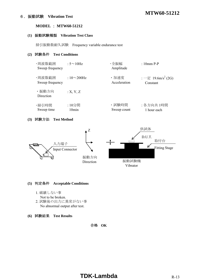# **MTW60-51212** 6.振動試験 **Vibration Test**

#### **MODEL** : **MTW60-51212**

#### **(1)** 振動試験種類 **Vibration Test Class**

掃引振動数耐久試験 Frequency variable endurance test

#### **(2)** 試験条件 **Test Conditions**

| ・周波数範囲<br>Sweep frequency | : $5 \sim 10$ Hz | ・全振幅<br>Amplitude | $: 10mm$ P-P                   |
|---------------------------|------------------|-------------------|--------------------------------|
| ・周波数範囲                    | : $10\sim200$ Hz | ・加速度              | : 一定 19.6m/s <sup>2</sup> (2G) |
| Sweep frequency           |                  | Acceleration      | Constant                       |
| ・振動方向<br>Direction        | :X, Y, Z         |                   |                                |
| ・掃引時間                     | :10分間            | ・試験時間             | : 各方向共 1時間                     |
| Sweep time                | 10min            | Sweep count       | 1 hour each                    |

#### **(3)** 試験方法 **Test Method**



#### **(5)** 判定条件 **Acceptable Conditions**

- 1. 破壊しない事
- Not to be broken.
- 2. 試験後の出力に異常がない事 No abnormal output after test.
- **(6)** 試験結果 **Test Results**

合格 **OK**